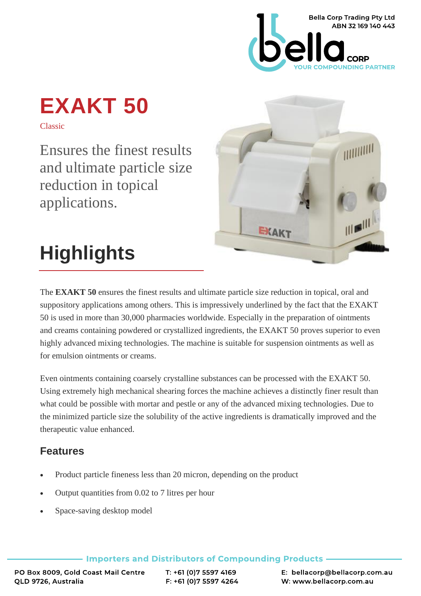

# **EXAKT 50**

Classic

Ensures the finest results and ultimate particle size reduction in topical applications.



## **Highlights**

The **EXAKT 50** ensures the finest results and ultimate particle size reduction in topical, oral and suppository applications among others. This is impressively underlined by the fact that the EXAKT 50 is used in more than 30,000 pharmacies worldwide. Especially in the preparation of ointments and creams containing powdered or crystallized ingredients, the EXAKT 50 proves superior to even highly advanced mixing technologies. The machine is suitable for suspension ointments as well as for emulsion ointments or creams.

Even ointments containing coarsely crystalline substances can be processed with the EXAKT 50. Using extremely high mechanical shearing forces the machine achieves a distinctly finer result than what could be possible with mortar and pestle or any of the advanced mixing technologies. Due to the minimized particle size the solubility of the active ingredients is dramatically improved and the therapeutic value enhanced.

### **Features**

- Product particle fineness less than 20 micron, depending on the product
- Output quantities from 0.02 to 7 litres per hour
- Space-saving desktop model

**Importers and Distributors of Compounding Products** 

PO Box 8009, Gold Coast Mail Centre QLD 9726, Australia

T: +61 (0) 7 5597 4169 F: +61 (0) 7 5597 4264 E: bellacorp@bellacorp.com.au W: www.bellacorp.com.au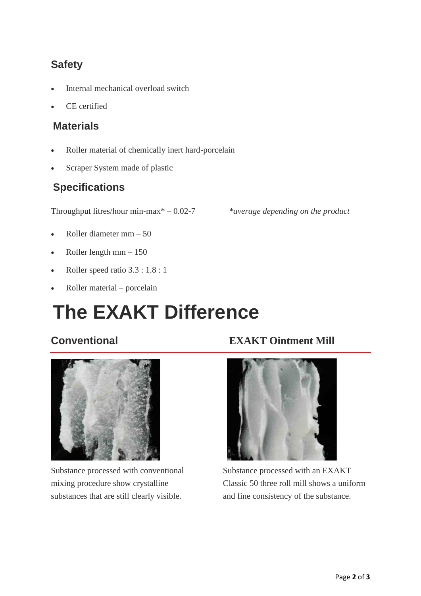## **Safety**

- Internal mechanical overload switch
- CE certified

#### **Materials**

- Roller material of chemically inert hard-porcelain
- Scraper System made of plastic

#### **Specifications**

Throughput litres/hour min-max\* – 0.02-7 *\*average depending on the product*

- Roller diameter mm 50
- Roller length  $mm 150$
- Roller speed ratio 3.3 : 1.8 : 1
- Roller material porcelain

## **The EXAKT Difference**



Substance processed with conventional mixing procedure show crystalline substances that are still clearly visible.

#### **Conventional EXAKT Ointment Mill**



Substance processed with an EXAKT Classic 50 three roll mill shows a uniform and fine consistency of the substance.